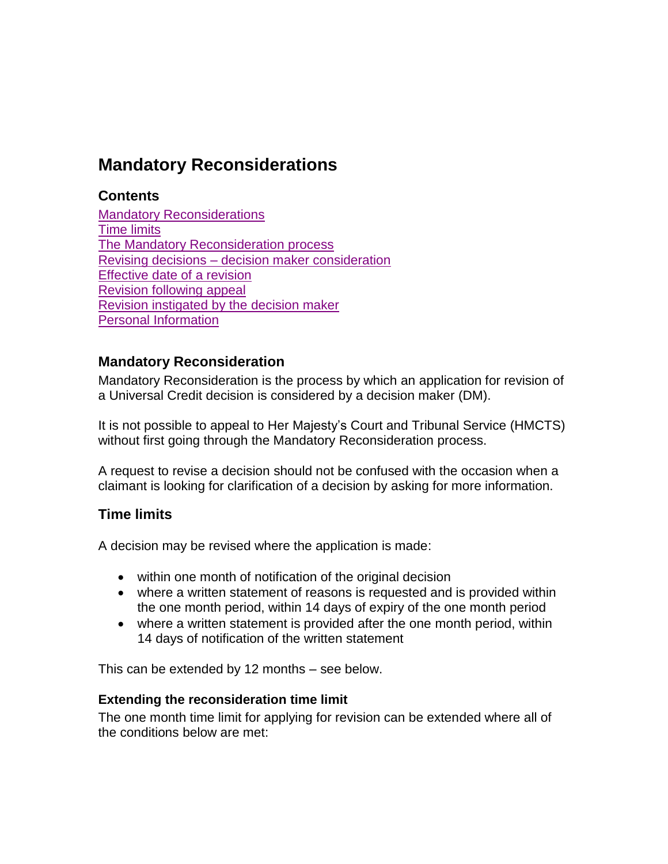# **Mandatory Reconsiderations**

# **Contents**

**[Mandatory Reconsiderations](#page-0-0)** [Time limits](#page-0-1) [The Mandatory Reconsideration process](#page-1-0) Revising decisions – [decision maker consideration](#page-3-0) [Effective date of a revision](#page-4-0) [Revision following appeal](#page-4-1) [Revision instigated by the decision maker](#page-4-2) [Personal Information](#page-4-3)

### <span id="page-0-0"></span>**Mandatory Reconsideration**

Mandatory Reconsideration is the process by which an application for revision of a Universal Credit decision is considered by a decision maker (DM).

It is not possible to appeal to Her Majesty's Court and Tribunal Service (HMCTS) without first going through the Mandatory Reconsideration process.

A request to revise a decision should not be confused with the occasion when a claimant is looking for clarification of a decision by asking for more information.

# <span id="page-0-1"></span>**Time limits**

A decision may be revised where the application is made:

- within one month of notification of the original decision
- where a written statement of reasons is requested and is provided within the one month period, within 14 days of expiry of the one month period
- where a written statement is provided after the one month period, within 14 days of notification of the written statement

This can be extended by 12 months – see below.

#### **Extending the reconsideration time limit**

The one month time limit for applying for revision can be extended where all of the conditions below are met: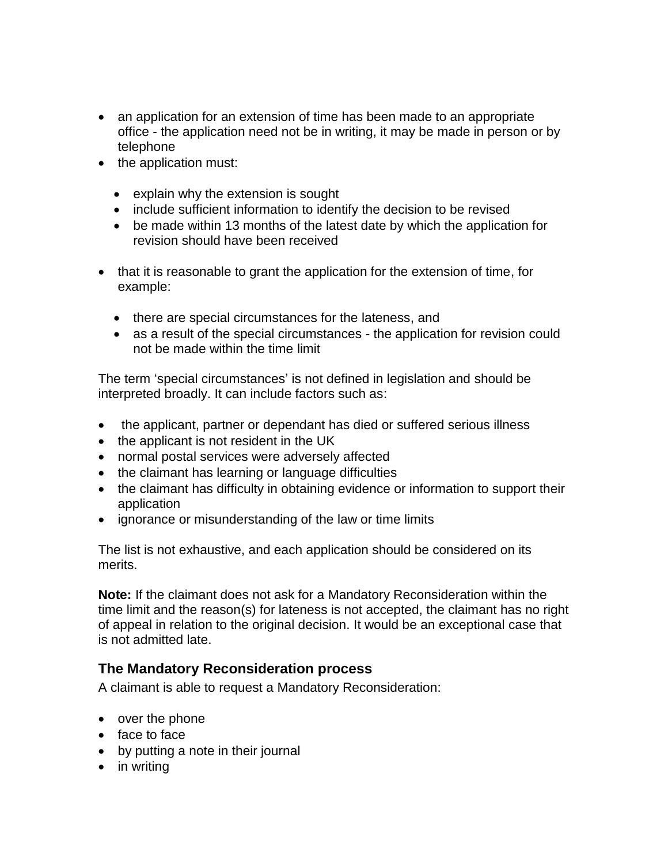- an application for an extension of time has been made to an appropriate office - the application need not be in writing, it may be made in person or by telephone
- the application must:
	- explain why the extension is sought
	- include sufficient information to identify the decision to be revised
	- be made within 13 months of the latest date by which the application for revision should have been received
- that it is reasonable to grant the application for the extension of time, for example:
	- there are special circumstances for the lateness, and
	- as a result of the special circumstances the application for revision could not be made within the time limit

The term 'special circumstances' is not defined in legislation and should be interpreted broadly. It can include factors such as:

- the applicant, partner or dependant has died or suffered serious illness
- the applicant is not resident in the UK
- normal postal services were adversely affected
- the claimant has learning or language difficulties
- the claimant has difficulty in obtaining evidence or information to support their application
- ignorance or misunderstanding of the law or time limits

The list is not exhaustive, and each application should be considered on its merits.

**Note:** If the claimant does not ask for a Mandatory Reconsideration within the time limit and the reason(s) for lateness is not accepted, the claimant has no right of appeal in relation to the original decision. It would be an exceptional case that is not admitted late.

# <span id="page-1-0"></span>**The Mandatory Reconsideration process**

A claimant is able to request a Mandatory Reconsideration:

- over the phone
- face to face
- by putting a note in their journal
- in writing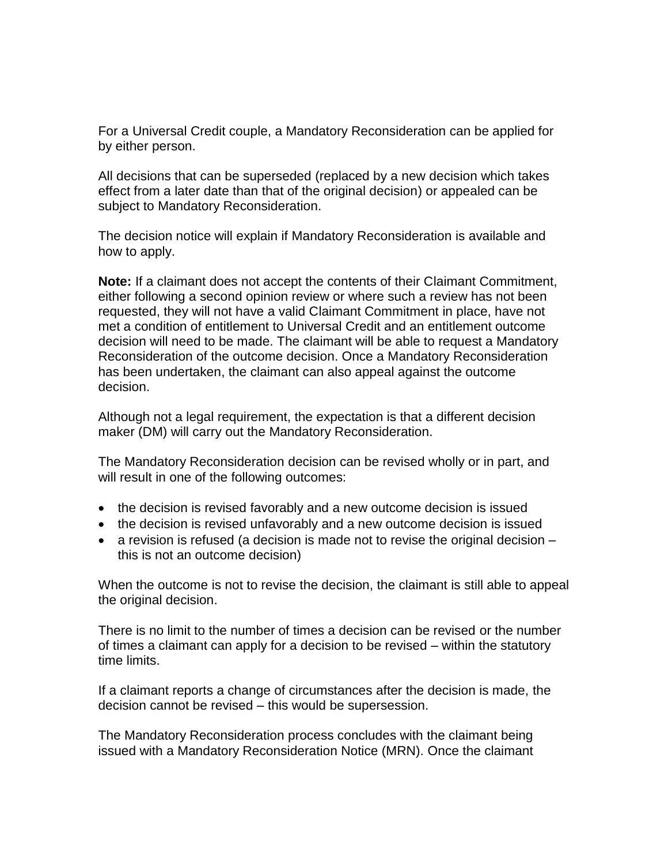For a Universal Credit couple, a Mandatory Reconsideration can be applied for by either person.

All decisions that can be superseded (replaced by a new decision which takes effect from a later date than that of the original decision) or appealed can be subject to Mandatory Reconsideration.

The decision notice will explain if Mandatory Reconsideration is available and how to apply.

**Note:** If a claimant does not accept the contents of their Claimant Commitment, either following a second opinion review or where such a review has not been requested, they will not have a valid Claimant Commitment in place, have not met a condition of entitlement to Universal Credit and an entitlement outcome decision will need to be made. The claimant will be able to request a Mandatory Reconsideration of the outcome decision. Once a Mandatory Reconsideration has been undertaken, the claimant can also appeal against the outcome decision.

Although not a legal requirement, the expectation is that a different decision maker (DM) will carry out the Mandatory Reconsideration.

The Mandatory Reconsideration decision can be revised wholly or in part, and will result in one of the following outcomes:

- the decision is revised favorably and a new outcome decision is issued
- the decision is revised unfavorably and a new outcome decision is issued
- a revision is refused (a decision is made not to revise the original decision this is not an outcome decision)

When the outcome is not to revise the decision, the claimant is still able to appeal the original decision.

There is no limit to the number of times a decision can be revised or the number of times a claimant can apply for a decision to be revised – within the statutory time limits.

If a claimant reports a change of circumstances after the decision is made, the decision cannot be revised – this would be supersession.

The Mandatory Reconsideration process concludes with the claimant being issued with a Mandatory Reconsideration Notice (MRN). Once the claimant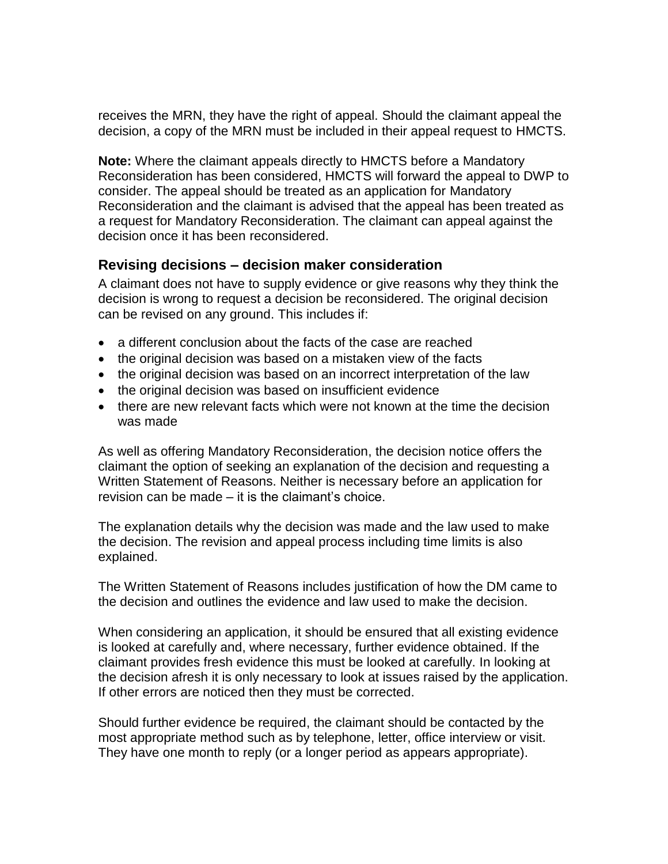receives the MRN, they have the right of appeal. Should the claimant appeal the decision, a copy of the MRN must be included in their appeal request to HMCTS.

**Note:** Where the claimant appeals directly to HMCTS before a Mandatory Reconsideration has been considered, HMCTS will forward the appeal to DWP to consider. The appeal should be treated as an application for Mandatory Reconsideration and the claimant is advised that the appeal has been treated as a request for Mandatory Reconsideration. The claimant can appeal against the decision once it has been reconsidered.

### <span id="page-3-0"></span>**Revising decisions – decision maker consideration**

A claimant does not have to supply evidence or give reasons why they think the decision is wrong to request a decision be reconsidered. The original decision can be revised on any ground. This includes if:

- a different conclusion about the facts of the case are reached
- the original decision was based on a mistaken view of the facts
- the original decision was based on an incorrect interpretation of the law
- the original decision was based on insufficient evidence
- there are new relevant facts which were not known at the time the decision was made

As well as offering Mandatory Reconsideration, the decision notice offers the claimant the option of seeking an explanation of the decision and requesting a Written Statement of Reasons. Neither is necessary before an application for revision can be made – it is the claimant's choice.

The explanation details why the decision was made and the law used to make the decision. The revision and appeal process including time limits is also explained.

The Written Statement of Reasons includes justification of how the DM came to the decision and outlines the evidence and law used to make the decision.

When considering an application, it should be ensured that all existing evidence is looked at carefully and, where necessary, further evidence obtained. If the claimant provides fresh evidence this must be looked at carefully. In looking at the decision afresh it is only necessary to look at issues raised by the application. If other errors are noticed then they must be corrected.

Should further evidence be required, the claimant should be contacted by the most appropriate method such as by telephone, letter, office interview or visit. They have one month to reply (or a longer period as appears appropriate).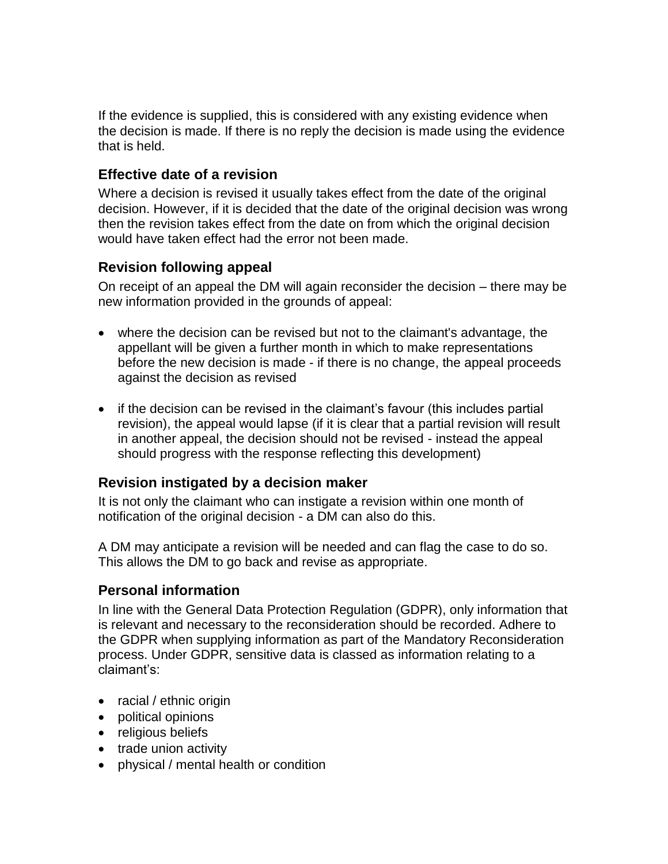If the evidence is supplied, this is considered with any existing evidence when the decision is made. If there is no reply the decision is made using the evidence that is held.

## <span id="page-4-0"></span>**Effective date of a revision**

Where a decision is revised it usually takes effect from the date of the original decision. However, if it is decided that the date of the original decision was wrong then the revision takes effect from the date on from which the original decision would have taken effect had the error not been made.

# <span id="page-4-1"></span>**Revision following appeal**

On receipt of an appeal the DM will again reconsider the decision – there may be new information provided in the grounds of appeal:

- where the decision can be revised but not to the claimant's advantage, the appellant will be given a further month in which to make representations before the new decision is made - if there is no change, the appeal proceeds against the decision as revised
- if the decision can be revised in the claimant's favour (this includes partial revision), the appeal would lapse (if it is clear that a partial revision will result in another appeal, the decision should not be revised - instead the appeal should progress with the response reflecting this development)

# <span id="page-4-2"></span>**Revision instigated by a decision maker**

It is not only the claimant who can instigate a revision within one month of notification of the original decision - a DM can also do this.

A DM may anticipate a revision will be needed and can flag the case to do so. This allows the DM to go back and revise as appropriate.

#### <span id="page-4-3"></span>**Personal information**

In line with the General Data Protection Regulation (GDPR), only information that is relevant and necessary to the reconsideration should be recorded. Adhere to the GDPR when supplying information as part of the Mandatory Reconsideration process. Under GDPR, sensitive data is classed as information relating to a claimant's:

- racial / ethnic origin
- political opinions
- religious beliefs
- trade union activity
- physical / mental health or condition